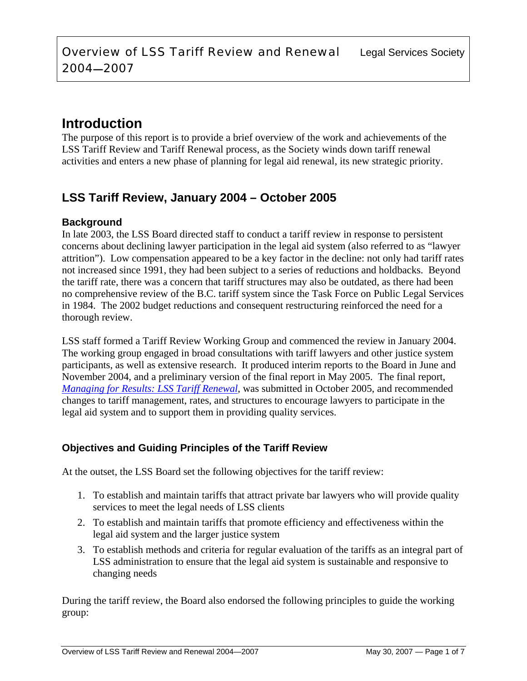# **Introduction**

The purpose of this report is to provide a brief overview of the work and achievements of the LSS Tariff Review and Tariff Renewal process, as the Society winds down tariff renewal activities and enters a new phase of planning for legal aid renewal, its new strategic priority.

# **LSS Tariff Review, January 2004 – October 2005**

## **Background**

In late 2003, the LSS Board directed staff to conduct a tariff review in response to persistent concerns about declining lawyer participation in the legal aid system (also referred to as "lawyer attrition"). Low compensation appeared to be a key factor in the decline: not only had tariff rates not increased since 1991, they had been subject to a series of reductions and holdbacks. Beyond the tariff rate, there was a concern that tariff structures may also be outdated, as there had been no comprehensive review of the B.C. tariff system since the Task Force on Public Legal Services in 1984. The 2002 budget reductions and consequent restructuring reinforced the need for a thorough review.

LSS staff formed a Tariff Review Working Group and commenced the review in January 2004. The working group engaged in broad consultations with tariff lawyers and other justice system participants, as well as extensive research. It produced interim reports to the Board in June and November 2004, and a preliminary version of the final report in May 2005. The final report, *Managing for Results: LSS Tariff Renewal*, was submitted in October 2005, and recommended changes to tariff management, rates, and structures to encourage lawyers to participate in the legal aid system and to support them in providing quality services.

## **Objectives and Guiding Principles of the Tariff Review**

At the outset, the LSS Board set the following objectives for the tariff review:

- 1. To establish and maintain tariffs that attract private bar lawyers who will provide quality services to meet the legal needs of LSS clients
- 2. To establish and maintain tariffs that promote efficiency and effectiveness within the legal aid system and the larger justice system
- 3. To establish methods and criteria for regular evaluation of the tariffs as an integral part of LSS administration to ensure that the legal aid system is sustainable and responsive to changing needs

During the tariff review, the Board also endorsed the following principles to guide the working group: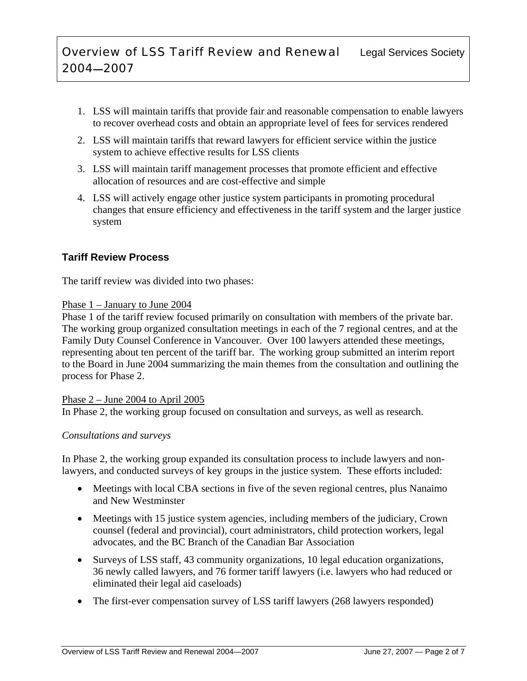- 1. LSS will maintain tariffs that provide fair and reasonable compensation to enable lawyers to recover overhead costs and obtain an appropriate level of fees for services rendered
- 2. LSS will maintain tariffs that reward lawyers for efficient service within the justice system to achieve effective results for LSS clients
- 3. LSS will maintain tariff management processes that promote efficient and effective allocation of resources and are cost-effective and simple
- 4. LSS will actively engage other justice system participants in promoting procedural changes that ensure efficiency and effectiveness in the tariff system and the larger justice system

## **Tariff Review Process**

The tariff review was divided into two phases:

## Phase 1 – January to June 2004

Phase 1 of the tariff review focused primarily on consultation with members of the private bar. The working group organized consultation meetings in each of the 7 regional centres, and at the Family Duty Counsel Conference in Vancouver. Over 100 lawyers attended these meetings, representing about ten percent of the tariff bar. The working group submitted an interim report to the Board in June 2004 summarizing the main themes from the consultation and outlining the process for Phase 2.

## Phase  $2 -$  June 2004 to April 2005

In Phase 2, the working group focused on consultation and surveys, as well as research.

## *Consultations and surveys*

In Phase 2, the working group expanded its consultation process to include lawyers and nonlawyers, and conducted surveys of key groups in the justice system. These efforts included:

- Meetings with local CBA sections in five of the seven regional centres, plus Nanaimo and New Westminster
- Meetings with 15 justice system agencies, including members of the judiciary, Crown counsel (federal and provincial), court administrators, child protection workers, legal advocates, and the BC Branch of the Canadian Bar Association
- Surveys of LSS staff, 43 community organizations, 10 legal education organizations, 36 newly called lawyers, and 76 former tariff lawyers (i.e. lawyers who had reduced or eliminated their legal aid caseloads)
- The first-ever compensation survey of LSS tariff lawyers (268 lawyers responded)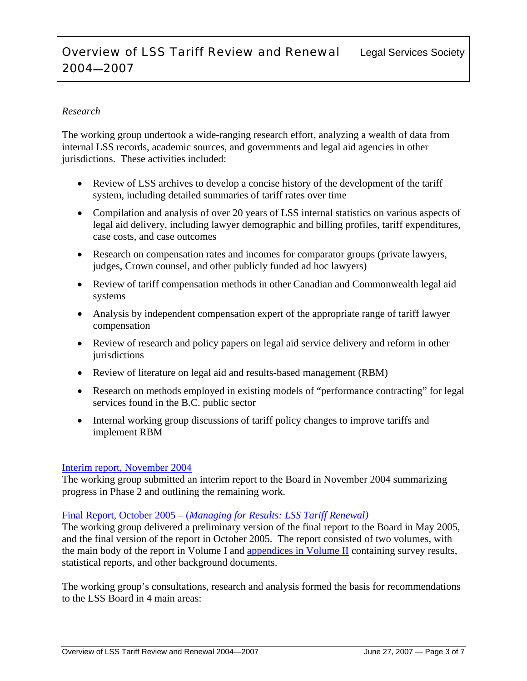## **Overview of LSS Tariff Review and Renewal** Legal Services Society 2004—2007

## *Research*

The working group undertook a wide-ranging research effort, analyzing a wealth of data from internal LSS records, academic sources, and governments and legal aid agencies in other jurisdictions. These activities included:

- Review of LSS archives to develop a concise history of the development of the tariff system, including detailed summaries of tariff rates over time
- Compilation and analysis of over 20 years of LSS internal statistics on various aspects of legal aid delivery, including lawyer demographic and billing profiles, tariff expenditures, case costs, and case outcomes
- Research on compensation rates and incomes for comparator groups (private lawyers, judges, Crown counsel, and other publicly funded ad hoc lawyers)
- Review of tariff compensation methods in other Canadian and Commonwealth legal aid systems
- Analysis by independent compensation expert of the appropriate range of tariff lawyer compensation
- Review of research and policy papers on legal aid service delivery and reform in other jurisdictions
- Review of literature on legal aid and results-based management (RBM)
- Research on methods employed in existing models of "performance contracting" for legal services found in the B.C. public sector
- Internal working group discussions of tariff policy changes to improve tariffs and implement RBM

### Interim report, November 2004

The working group submitted an interim report to the Board in November 2004 summarizing progress in Phase 2 and outlining the remaining work.

### Final Report, October 2005 – (*Managing for Results: LSS Tariff Renewal)*

The working group delivered a preliminary version of the final report to the Board in May 2005, and the final version of the report in October 2005. The report consisted of two volumes, with the main body of the report in Volume I and appendices in Volume II containing survey results, statistical reports, and other background documents.

The working group's consultations, research and analysis formed the basis for recommendations to the LSS Board in 4 main areas: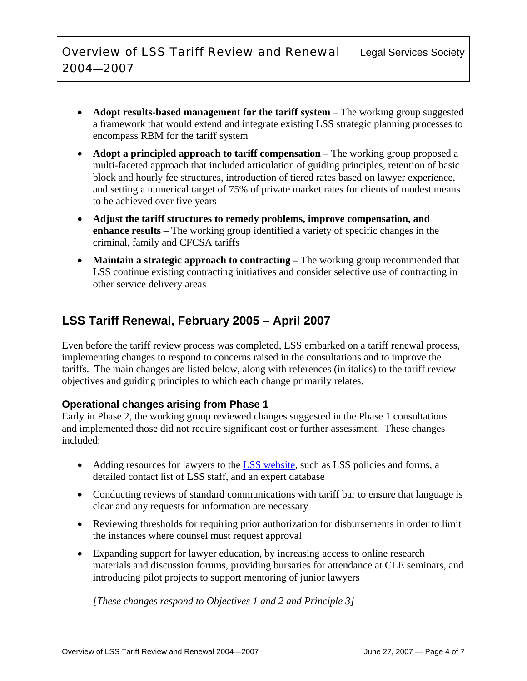- **Adopt results-based management for the tariff system** The working group suggested a framework that would extend and integrate existing LSS strategic planning processes to encompass RBM for the tariff system
- **Adopt a principled approach to tariff compensation** The working group proposed a multi-faceted approach that included articulation of guiding principles, retention of basic block and hourly fee structures, introduction of tiered rates based on lawyer experience, and setting a numerical target of 75% of private market rates for clients of modest means to be achieved over five years
- **Adjust the tariff structures to remedy problems, improve compensation, and enhance results** – The working group identified a variety of specific changes in the criminal, family and CFCSA tariffs
- **Maintain a strategic approach to contracting** The working group recommended that LSS continue existing contracting initiatives and consider selective use of contracting in other service delivery areas

# **LSS Tariff Renewal, February 2005 – April 2007**

Even before the tariff review process was completed, LSS embarked on a tariff renewal process, implementing changes to respond to concerns raised in the consultations and to improve the tariffs. The main changes are listed below, along with references (in italics) to the tariff review objectives and guiding principles to which each change primarily relates.

## **Operational changes arising from Phase 1**

Early in Phase 2, the working group reviewed changes suggested in the Phase 1 consultations and implemented those did not require significant cost or further assessment. These changes included:

- Adding resources for lawyers to the LSS website, such as LSS policies and forms, a detailed contact list of LSS staff, and an expert database
- Conducting reviews of standard communications with tariff bar to ensure that language is clear and any requests for information are necessary
- Reviewing thresholds for requiring prior authorization for disbursements in order to limit the instances where counsel must request approval
- Expanding support for lawyer education, by increasing access to online research materials and discussion forums, providing bursaries for attendance at CLE seminars, and introducing pilot projects to support mentoring of junior lawyers

*[These changes respond to Objectives 1 and 2 and Principle 3]*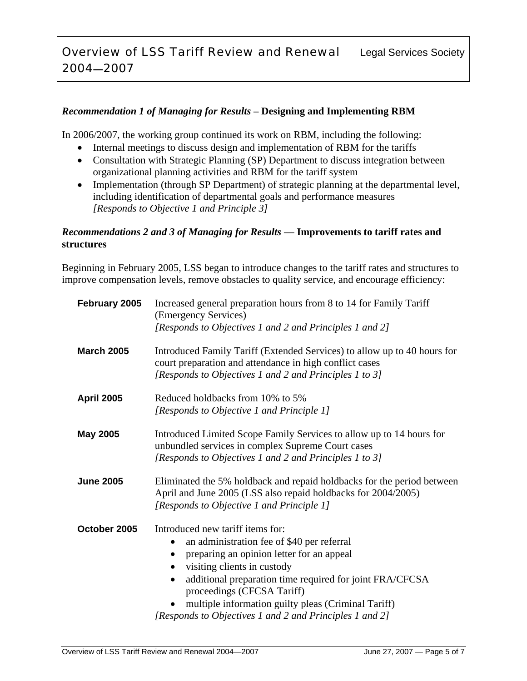## *Recommendation 1 of Managing for Results* **– Designing and Implementing RBM**

In 2006/2007, the working group continued its work on RBM, including the following:

- Internal meetings to discuss design and implementation of RBM for the tariffs
- Consultation with Strategic Planning (SP) Department to discuss integration between organizational planning activities and RBM for the tariff system
- Implementation (through SP Department) of strategic planning at the departmental level, including identification of departmental goals and performance measures *[Responds to Objective 1 and Principle 3]*

### *Recommendations 2 and 3 of Managing for Results* — **Improvements to tariff rates and structures**

Beginning in February 2005, LSS began to introduce changes to the tariff rates and structures to improve compensation levels, remove obstacles to quality service, and encourage efficiency:

| February 2005     | Increased general preparation hours from 8 to 14 for Family Tariff<br>(Emergency Services)<br>[Responds to Objectives 1 and 2 and Principles 1 and 2]                                                                                                                                                                                                                               |
|-------------------|-------------------------------------------------------------------------------------------------------------------------------------------------------------------------------------------------------------------------------------------------------------------------------------------------------------------------------------------------------------------------------------|
| <b>March 2005</b> | Introduced Family Tariff (Extended Services) to allow up to 40 hours for<br>court preparation and attendance in high conflict cases<br>[Responds to Objectives 1 and 2 and Principles 1 to 3]                                                                                                                                                                                       |
| <b>April 2005</b> | Reduced holdbacks from 10% to 5%<br>[Responds to Objective 1 and Principle 1]                                                                                                                                                                                                                                                                                                       |
| <b>May 2005</b>   | Introduced Limited Scope Family Services to allow up to 14 hours for<br>unbundled services in complex Supreme Court cases<br>[Responds to Objectives 1 and 2 and Principles 1 to 3]                                                                                                                                                                                                 |
| <b>June 2005</b>  | Eliminated the 5% holdback and repaid holdbacks for the period between<br>April and June 2005 (LSS also repaid holdbacks for 2004/2005)<br>[Responds to Objective 1 and Principle 1]                                                                                                                                                                                                |
| October 2005      | Introduced new tariff items for:<br>an administration fee of \$40 per referral<br>preparing an opinion letter for an appeal<br>visiting clients in custody<br>additional preparation time required for joint FRA/CFCSA<br>$\bullet$<br>proceedings (CFCSA Tariff)<br>multiple information guilty pleas (Criminal Tariff)<br>[Responds to Objectives 1 and 2 and Principles 1 and 2] |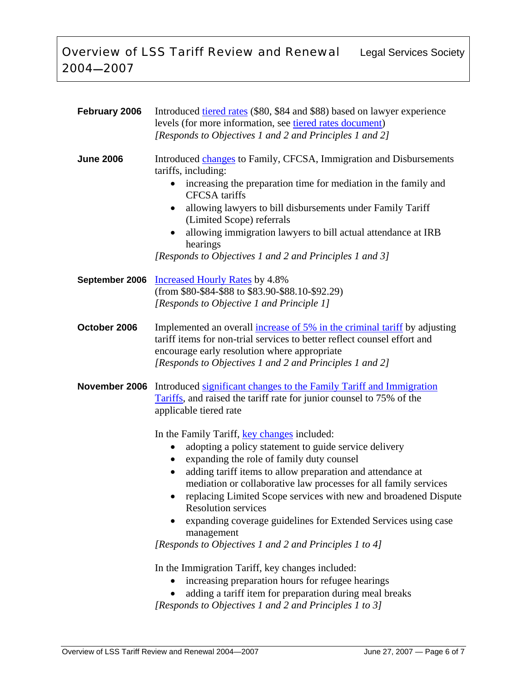| February 2006    | Introduced tiered rates (\$80, \$84 and \$88) based on lawyer experience<br>levels (for more information, see tiered rates document)<br>[Responds to Objectives 1 and 2 and Principles 1 and 2]                                                                                                                                                                                                                                                                                                                        |
|------------------|------------------------------------------------------------------------------------------------------------------------------------------------------------------------------------------------------------------------------------------------------------------------------------------------------------------------------------------------------------------------------------------------------------------------------------------------------------------------------------------------------------------------|
| <b>June 2006</b> | Introduced changes to Family, CFCSA, Immigration and Disbursements<br>tariffs, including:<br>increasing the preparation time for mediation in the family and<br>$\bullet$<br><b>CFCSA</b> tariffs<br>allowing lawyers to bill disbursements under Family Tariff<br>$\bullet$<br>(Limited Scope) referrals<br>allowing immigration lawyers to bill actual attendance at IRB<br>hearings<br>[Responds to Objectives 1 and 2 and Principles 1 and 3]                                                                      |
| September 2006   | <b>Increased Hourly Rates by 4.8%</b><br>(from \$80-\$84-\$88 to \$83.90-\$88.10-\$92.29)<br>[Responds to Objective 1 and Principle 1]                                                                                                                                                                                                                                                                                                                                                                                 |
| October 2006     | Implemented an overall increase of 5% in the criminal tariff by adjusting<br>tariff items for non-trial services to better reflect counsel effort and<br>encourage early resolution where appropriate<br>[Responds to Objectives 1 and 2 and Principles 1 and 2]                                                                                                                                                                                                                                                       |
| November 2006    | Introduced significant changes to the Family Tariff and Immigration<br>Tariffs, and raised the tariff rate for junior counsel to 75% of the<br>applicable tiered rate<br>In the Family Tariff, key changes included:                                                                                                                                                                                                                                                                                                   |
|                  | adopting a policy statement to guide service delivery<br>$\bullet$<br>expanding the role of family duty counsel<br>$\bullet$<br>adding tariff items to allow preparation and attendance at<br>mediation or collaborative law processes for all family services<br>replacing Limited Scope services with new and broadened Dispute<br>$\bullet$<br><b>Resolution services</b><br>expanding coverage guidelines for Extended Services using case<br>management<br>[Responds to Objectives 1 and 2 and Principles 1 to 4] |
|                  | In the Immigration Tariff, key changes included:<br>increasing preparation hours for refugee hearings<br>adding a tariff item for preparation during meal breaks                                                                                                                                                                                                                                                                                                                                                       |

*[Responds to Objectives 1 and 2 and Principles 1 to 3]*